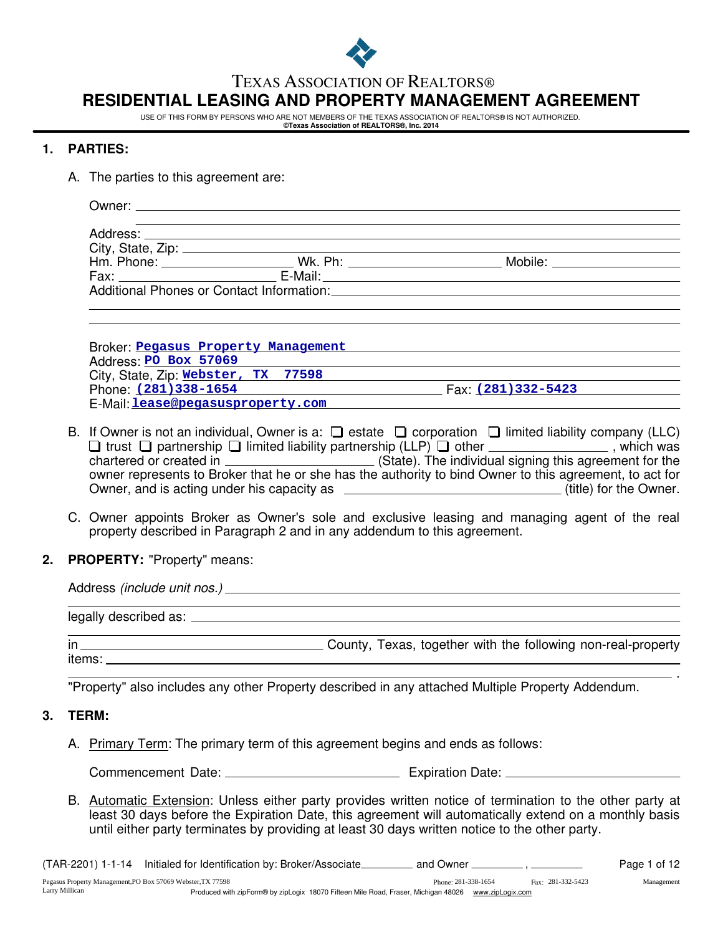

#### TEXAS ASSOCIATION OF REALTORS®

# **RESIDENTIAL LEASING AND PROPERTY MANAGEMENT AGREEMENT**

USE OF THIS FORM BY PERSONS WHO ARE NOT MEMBERS OF THE TEXAS ASSOCIATION OF REALTORS® IS NOT AUTHORIZED.

#### **©Texas Association of REALTORS®, Inc. 2014**

#### **1. PARTIES:**

A. The parties to this agreement are:

|  | Mobile: _________________                                                           |  |
|--|-------------------------------------------------------------------------------------|--|
|  |                                                                                     |  |
|  | Additional Phones or Contact Information: Additional Phones or Contact Information: |  |
|  |                                                                                     |  |

| Broker Pegasus Property Management  |                    |  |
|-------------------------------------|--------------------|--|
| Address: PO Box 57069               |                    |  |
| City, State, Zip: Webster, TX 77598 |                    |  |
| Phone: (281) 338-1654               | Fax: (281)332-5423 |  |
| E-Mail lease@pegasusproperty.com    |                    |  |

- B. If Owner is not an individual, Owner is a:  $\Box$  estate  $\Box$  corporation  $\Box$  limited liability company (LLC) trust  $\Box$  partnership  $\Box$  limited liability partnership (LLP)  $\Box$  other  $\_\_\_\_\_\_\_\_\_\_\_\_\_\_\_$ , which was chartered or created in \_\_\_\_\_\_\_\_\_\_\_\_\_\_\_\_\_\_\_\_\_\_\_\_\_(State). The individual signing this agreement for the owner represents to Broker that he or she has the authority to bind Owner to this agreement, to act for Owner, and is acting under his capacity as  $\overline{a}$  (title) for the Owner.
- C. Owner appoints Broker as Owner's sole and exclusive leasing and managing agent of the real property described in Paragraph 2 and in any addendum to this agreement.
- **2. PROPERTY:** "Property" means:

items:

| in | County, Texas, together with the following non-real-property |
|----|--------------------------------------------------------------|

"Property" also includes any other Property described in any attached Multiple Property Addendum.

#### **3. TERM:**

A. Primary Term: The primary term of this agreement begins and ends as follows:

Commencement Date: Expiration Date:

B. Automatic Extension: Unless either party provides written notice of termination to the other party at least 30 days before the Expiration Date, this agreement will automatically extend on a monthly basis until either party terminates by providing at least 30 days written notice to the other party.

.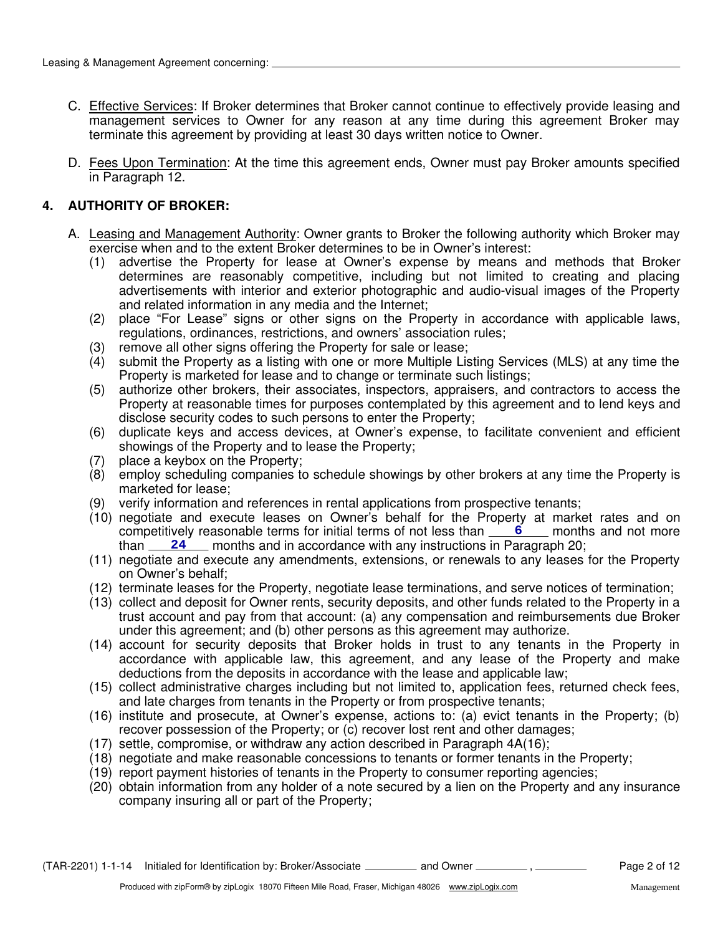- C. Effective Services: If Broker determines that Broker cannot continue to effectively provide leasing and management services to Owner for any reason at any time during this agreement Broker may terminate this agreement by providing at least 30 days written notice to Owner.
- D. Fees Upon Termination: At the time this agreement ends, Owner must pay Broker amounts specified in Paragraph 12.

# **4. AUTHORITY OF BROKER:**

- A. Leasing and Management Authority: Owner grants to Broker the following authority which Broker may exercise when and to the extent Broker determines to be in Owner's interest:
	- (1) advertise the Property for lease at Owner's expense by means and methods that Broker determines are reasonably competitive, including but not limited to creating and placing advertisements with interior and exterior photographic and audio-visual images of the Property and related information in any media and the Internet;
	- (2) place "For Lease" signs or other signs on the Property in accordance with applicable laws, regulations, ordinances, restrictions, and owners' association rules;
	- (3) remove all other signs offering the Property for sale or lease;
	- (4) submit the Property as a listing with one or more Multiple Listing Services (MLS) at any time the Property is marketed for lease and to change or terminate such listings;
	- (5) authorize other brokers, their associates, inspectors, appraisers, and contractors to access the Property at reasonable times for purposes contemplated by this agreement and to lend keys and disclose security codes to such persons to enter the Property;
	- (6) duplicate keys and access devices, at Owner's expense, to facilitate convenient and efficient showings of the Property and to lease the Property;
	- (7) place a keybox on the Property;
	- (8) employ scheduling companies to schedule showings by other brokers at any time the Property is marketed for lease;
	- (9) verify information and references in rental applications from prospective tenants;
	- (10) negotiate and execute leases on Owner's behalf for the Property at market rates and on competitively reasonable terms for initial terms of not less than **6** 6 months and not more than <u>24</u> months and in accordance with any instructions in Paragraph 20;
	- (11) negotiate and execute any amendments, extensions, or renewals to any leases for the Property on Owner's behalf;
	- (12) terminate leases for the Property, negotiate lease terminations, and serve notices of termination;
	- (13) collect and deposit for Owner rents, security deposits, and other funds related to the Property in a trust account and pay from that account: (a) any compensation and reimbursements due Broker under this agreement; and (b) other persons as this agreement may authorize.
	- (14) account for security deposits that Broker holds in trust to any tenants in the Property in accordance with applicable law, this agreement, and any lease of the Property and make deductions from the deposits in accordance with the lease and applicable law;
	- (15) collect administrative charges including but not limited to, application fees, returned check fees, and late charges from tenants in the Property or from prospective tenants;
	- (16) institute and prosecute, at Owner's expense, actions to: (a) evict tenants in the Property; (b) recover possession of the Property; or (c) recover lost rent and other damages;
	- (17) settle, compromise, or withdraw any action described in Paragraph 4A(16);
	- (18) negotiate and make reasonable concessions to tenants or former tenants in the Property;
	- (19) report payment histories of tenants in the Property to consumer reporting agencies;
	- (20) obtain information from any holder of a note secured by a lien on the Property and any insurance company insuring all or part of the Property;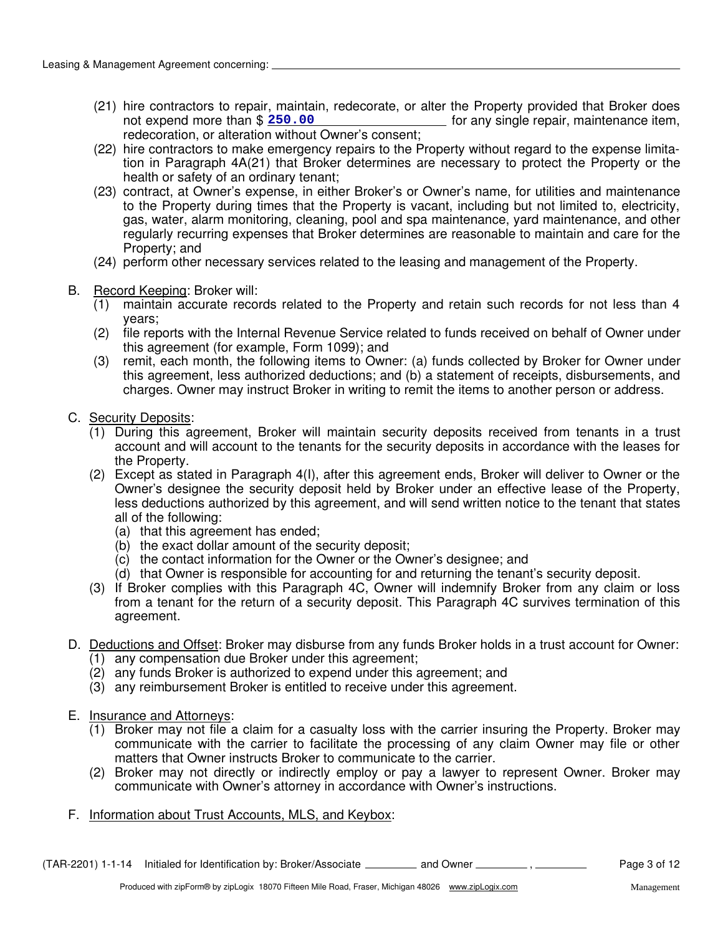- (21) hire contractors to repair, maintain, redecorate, or alter the Property provided that Broker does  $\frac{1}{\sqrt{a}}$  for any single repair, maintenance item, redecoration, or alteration without Owner's consent; not expend more than \$ 250.00
- tion in Paragraph 4A(21) that Broker determines are necessary to protect the Property or the health or safety of an ordinary tenant; (22) hire contractors to make emergency repairs to the Property without regard to the expense limita-
- (23) contract, at Owner's expense, in either Broker's or Owner's name, for utilities and maintenance to the Property during times that the Property is vacant, including but not limited to, electricity, gas, water, alarm monitoring, cleaning, pool and spa maintenance, yard maintenance, and other regularly recurring expenses that Broker determines are reasonable to maintain and care for the Property; and
- (24) perform other necessary services related to the leasing and management of the Property.
- B. Record Keeping: Broker will:
	- (1) maintain accurate records related to the Property and retain such records for not less than 4 years;
	- (2) file reports with the Internal Revenue Service related to funds received on behalf of Owner under this agreement (for example, Form 1099); and
	- (3) remit, each month, the following items to Owner: (a) funds collected by Broker for Owner under this agreement, less authorized deductions; and (b) a statement of receipts, disbursements, and charges. Owner may instruct Broker in writing to remit the items to another person or address.
- C. Security Deposits:
	- (1) During this agreement, Broker will maintain security deposits received from tenants in a trust account and will account to the tenants for the security deposits in accordance with the leases for the Property.
	- (2) Except as stated in Paragraph 4(I), after this agreement ends, Broker will deliver to Owner or the Owner's designee the security deposit held by Broker under an effective lease of the Property, less deductions authorized by this agreement, and will send written notice to the tenant that states all of the following:
		- (a) that this agreement has ended;
		- (b) the exact dollar amount of the security deposit;
		- (c) the contact information for the Owner or the Owner's designee; and
		- (d) that Owner is responsible for accounting for and returning the tenant's security deposit.
	- (3) If Broker complies with this Paragraph 4C, Owner will indemnify Broker from any claim or loss from a tenant for the return of a security deposit. This Paragraph 4C survives termination of this agreement.
- D. Deductions and Offset: Broker may disburse from any funds Broker holds in a trust account for Owner:
	- (1) any compensation due Broker under this agreement;
	- (2) any funds Broker is authorized to expend under this agreement; and
	- (3) any reimbursement Broker is entitled to receive under this agreement.
- E. Insurance and Attorneys:
	- (1) Broker may not file a claim for a casualty loss with the carrier insuring the Property. Broker may communicate with the carrier to facilitate the processing of any claim Owner may file or other matters that Owner instructs Broker to communicate to the carrier.
	- (2) Broker may not directly or indirectly employ or pay a lawyer to represent Owner. Broker may communicate with Owner's attorney in accordance with Owner's instructions.
- F. Information about Trust Accounts, MLS, and Keybox: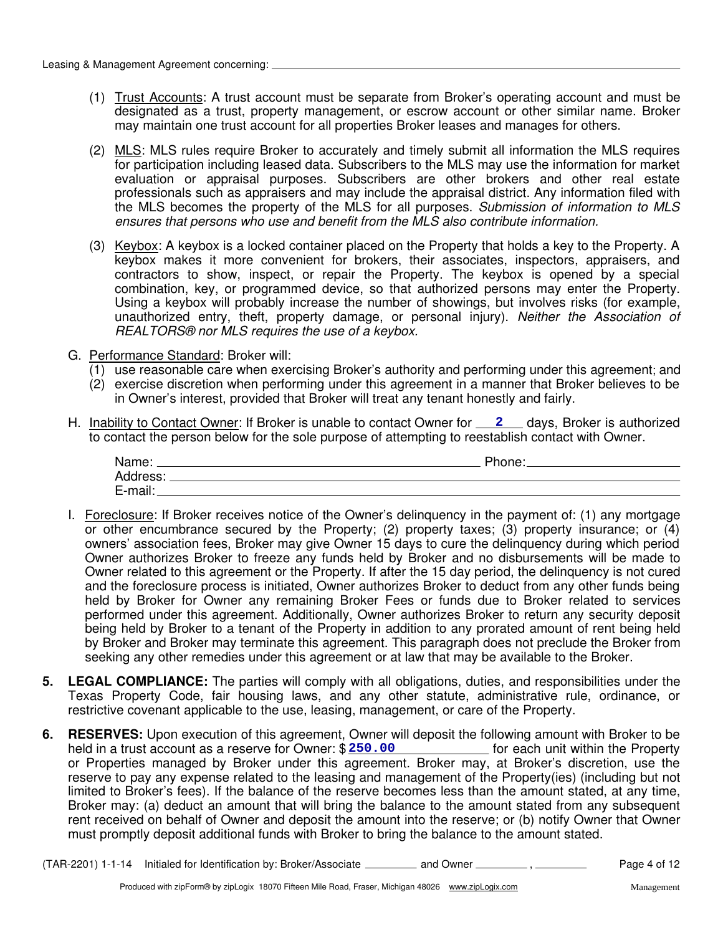- (1) Trust Accounts: A trust account must be separate from Broker's operating account and must be designated as a trust, property management, or escrow account or other similar name. Broker may maintain one trust account for all properties Broker leases and manages for others.
- (2) MLS: MLS rules require Broker to accurately and timely submit all information the MLS requires for participation including leased data. Subscribers to the MLS may use the information for market evaluation or appraisal purposes. Subscribers are other brokers and other real estate professionals such as appraisers and may include the appraisal district. Any information filed with the MLS becomes the property of the MLS for all purposes. Submission of information to MLS ensures that persons who use and benefit from the MLS also contribute information.
- (3) Keybox: A keybox is a locked container placed on the Property that holds a key to the Property. A keybox makes it more convenient for brokers, their associates, inspectors, appraisers, and contractors to show, inspect, or repair the Property. The keybox is opened by a special combination, key, or programmed device, so that authorized persons may enter the Property. Using a keybox will probably increase the number of showings, but involves risks (for example, unauthorized entry, theft, property damage, or personal injury). Neither the Association of REALTORS® nor MLS requires the use of a keybox.
- G. Performance Standard: Broker will:
	- $(1)$  use reasonable care when exercising Broker's authority and performing under this agreement; and
	- (2) exercise discretion when performing under this agreement in a manner that Broker believes to be in Owner's interest, provided that Broker will treat any tenant honestly and fairly.
- H. Inability to Contact Owner: If Broker is unable to contact Owner for **2** days, Broker is authorized to contact the person below for the sole purpose of attempting to reestablish contact with Owner.

| Name:    | Phone: |
|----------|--------|
| Address: |        |
| E-mail:  |        |

- I. Foreclosure: If Broker receives notice of the Owner's delinquency in the payment of: (1) any mortgage or other encumbrance secured by the Property; (2) property taxes; (3) property insurance; or (4) owners' association fees, Broker may give Owner 15 days to cure the delinquency during which period Owner authorizes Broker to freeze any funds held by Broker and no disbursements will be made to Owner related to this agreement or the Property. If after the 15 day period, the delinquency is not cured and the foreclosure process is initiated, Owner authorizes Broker to deduct from any other funds being held by Broker for Owner any remaining Broker Fees or funds due to Broker related to services performed under this agreement. Additionally, Owner authorizes Broker to return any security deposit being held by Broker to a tenant of the Property in addition to any prorated amount of rent being held by Broker and Broker may terminate this agreement. This paragraph does not preclude the Broker from seeking any other remedies under this agreement or at law that may be available to the Broker.
- **5. LEGAL COMPLIANCE:** The parties will comply with all obligations, duties, and responsibilities under the Texas Property Code, fair housing laws, and any other statute, administrative rule, ordinance, or restrictive covenant applicable to the use, leasing, management, or care of the Property.
- **6. RESERVES:** Upon execution of this agreement, Owner will deposit the following amount with Broker to be held in a trust account as a reserve for Owner: \$ 250.00 [10] [10] [10] [10] for each unit within the Property or Properties managed by Broker under this agreement. Broker may, at Broker's discretion, use the reserve to pay any expense related to the leasing and management of the Property(ies) (including but not limited to Broker's fees). If the balance of the reserve becomes less than the amount stated, at any time, Broker may: (a) deduct an amount that will bring the balance to the amount stated from any subsequent rent received on behalf of Owner and deposit the amount into the reserve; or (b) notify Owner that Owner must promptly deposit additional funds with Broker to bring the balance to the amount stated.

(TAR-2201) 1-1-14 Initialed for Identification by: Broker/Associate \_\_\_\_\_\_\_\_\_\_ and Owner \_\_\_\_\_\_\_\_\_\_, \_\_\_\_\_\_\_\_\_ Page 4 of 12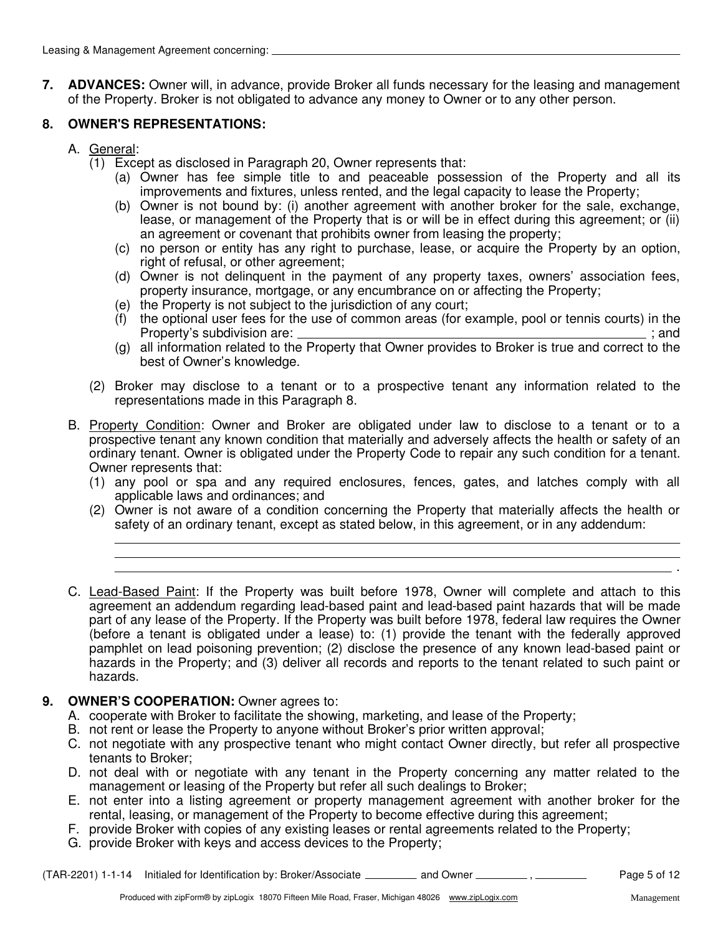**7. ADVANCES:** Owner will, in advance, provide Broker all funds necessary for the leasing and management of the Property. Broker is not obligated to advance any money to Owner or to any other person.

# **8. OWNER'S REPRESENTATIONS:**

- A. General:
	- (1) Except as disclosed in Paragraph 20, Owner represents that:
		- (a) Owner has fee simple title to and peaceable possession of the Property and all its improvements and fixtures, unless rented, and the legal capacity to lease the Property;
		- (b) Owner is not bound by: (i) another agreement with another broker for the sale, exchange, lease, or management of the Property that is or will be in effect during this agreement; or (ii) an agreement or covenant that prohibits owner from leasing the property;
		- (c) no person or entity has any right to purchase, lease, or acquire the Property by an option, right of refusal, or other agreement;
		- (d) Owner is not delinquent in the payment of any property taxes, owners' association fees, property insurance, mortgage, or any encumbrance on or affecting the Property;
		- (e) the Property is not subject to the jurisdiction of any court;
		- (f) the optional user fees for the use of common areas (for example, pool or tennis courts) in the Property's subdivision are: ; and
		- (g) all information related to the Property that Owner provides to Broker is true and correct to the best of Owner's knowledge.
	- (2) Broker may disclose to a tenant or to a prospective tenant any information related to the representations made in this Paragraph 8.
- B. Property Condition: Owner and Broker are obligated under law to disclose to a tenant or to a prospective tenant any known condition that materially and adversely affects the health or safety of an ordinary tenant. Owner is obligated under the Property Code to repair any such condition for a tenant. Owner represents that:
	- (1) any pool or spa and any required enclosures, fences, gates, and latches comply with all applicable laws and ordinances; and
	- (2) Owner is not aware of a condition concerning the Property that materially affects the health or safety of an ordinary tenant, except as stated below, in this agreement, or in any addendum:
- C. Lead-Based Paint: If the Property was built before 1978, Owner will complete and attach to this agreement an addendum regarding lead-based paint and lead-based paint hazards that will be made part of any lease of the Property. If the Property was built before 1978, federal law requires the Owner (before a tenant is obligated under a lease) to: (1) provide the tenant with the federally approved pamphlet on lead poisoning prevention; (2) disclose the presence of any known lead-based paint or hazards in the Property; and (3) deliver all records and reports to the tenant related to such paint or hazards.

## **9. OWNER'S COOPERATION:** Owner agrees to:

- A. cooperate with Broker to facilitate the showing, marketing, and lease of the Property;
- B. not rent or lease the Property to anyone without Broker's prior written approval;
- C. not negotiate with any prospective tenant who might contact Owner directly, but refer all prospective tenants to Broker;
- D. not deal with or negotiate with any tenant in the Property concerning any matter related to the management or leasing of the Property but refer all such dealings to Broker;
- E. not enter into a listing agreement or property management agreement with another broker for the rental, leasing, or management of the Property to become effective during this agreement;
- F. provide Broker with copies of any existing leases or rental agreements related to the Property;
- G. provide Broker with keys and access devices to the Property;

(TAR-2201) 1-1-14 Initialed for Identification by: Broker/Associate \_\_\_\_\_\_\_\_\_\_ and Owner \_\_\_\_\_\_\_\_\_\_, \_\_\_\_\_\_\_\_\_ Page 5 of 12

.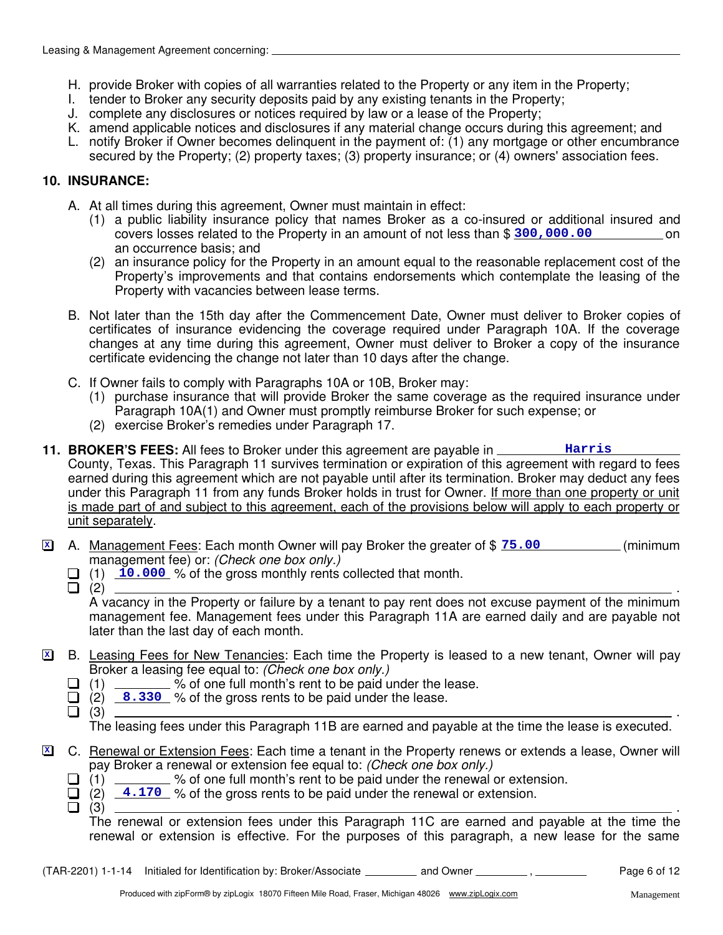- H. provide Broker with copies of all warranties related to the Property or any item in the Property;
- I. tender to Broker any security deposits paid by any existing tenants in the Property;
- J. complete any disclosures or notices required by law or a lease of the Property;
- K. amend applicable notices and disclosures if any material change occurs during this agreement; and
- L. notify Broker if Owner becomes delinquent in the payment of: (1) any mortgage or other encumbrance secured by the Property; (2) property taxes; (3) property insurance; or (4) owners' association fees.

#### **10. INSURANCE:**

- A. At all times during this agreement, Owner must maintain in effect:
	- (1) a public liability insurance policy that names Broker as a co-insured or additional insured and covers losses related to the Property in an amount of not less than \$  $300,000.00$ an occurrence basis; and
	- (2) an insurance policy for the Property in an amount equal to the reasonable replacement cost of the Property's improvements and that contains endorsements which contemplate the leasing of the Property with vacancies between lease terms.
- B. Not later than the 15th day after the Commencement Date, Owner must deliver to Broker copies of certificates of insurance evidencing the coverage required under Paragraph 10A. If the coverage changes at any time during this agreement, Owner must deliver to Broker a copy of the insurance certificate evidencing the change not later than 10 days after the change.
- C. If Owner fails to comply with Paragraphs 10A or 10B, Broker may:
	- (1) purchase insurance that will provide Broker the same coverage as the required insurance under Paragraph 10A(1) and Owner must promptly reimburse Broker for such expense; or
	- (2) exercise Broker's remedies under Paragraph 17.
- **11. BROKER'S FEES:** All fees to Broker under this agreement are payable in County, Texas. This Paragraph 11 survives termination or expiration of this agreement with regard to fees earned during this agreement which are not payable until after its termination. Broker may deduct any fees under this Paragraph 11 from any funds Broker holds in trust for Owner. If more than one property or unit is made part of and subject to this agreement, each of the provisions below will apply to each property or unit separately. **Harris**
- **Z** A. Management Fees: Each month Owner will pay Broker the greater of \$  $75.00$  (minimum management fee) or: (Check one box only.)
	- (1) 10.000 % of the gross monthly rents collected that month.
	-

(2) . A vacancy in the Property or failure by a tenant to pay rent does not excuse payment of the minimum management fee. Management fees under this Paragraph 11A are earned daily and are payable not later than the last day of each month.

- B. Leasing Fees for New Tenancies: Each time the Property is leased to a new tenant, Owner will pay Broker a leasing fee equal to: (Check one box only.) **X**
	- $\Box$  (1)  $\Box$  % of one full month's rent to be paid under the lease.
		- $(2)$   $8.330$  % of the gross rents to be paid under the lease.
			- $(3)$   $\qquad \qquad$ The leasing fees under this Paragraph 11B are earned and payable at the time the lease is executed.
- C. Renewal or Extension Fees: Each time a tenant in the Property renews or extends a lease, Owner will pay Broker a renewal or extension fee equal to: (Check one box only.) **X**
	- $\Box$  (1)  $\Box$  % of one full month's rent to be paid under the renewal or extension.
	- $(2)$   $\overline{4.170}$  % of the gross rents to be paid under the renewal or extension.
	- $(3)$   $\qquad \qquad$

The renewal or extension fees under this Paragraph 11C are earned and payable at the time the renewal or extension is effective. For the purposes of this paragraph, a new lease for the same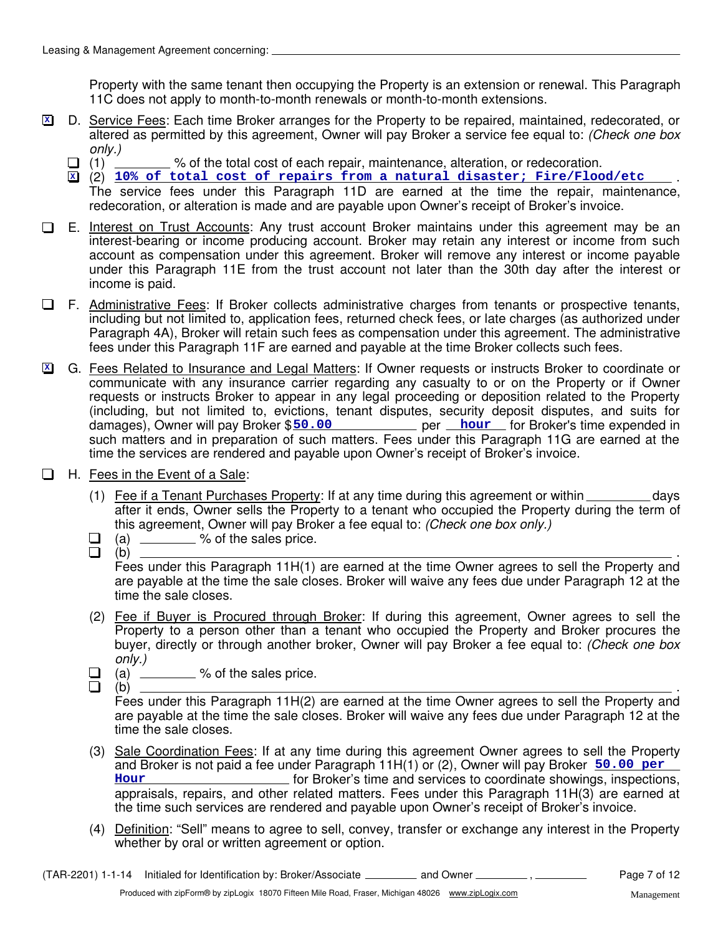Property with the same tenant then occupying the Property is an extension or renewal. This Paragraph 11C does not apply to month-to-month renewals or month-to-month extensions.

- D. Service Fees: Each time Broker arranges for the Property to be repaired, maintained, redecorated, or altered as permitted by this agreement, Owner will pay Broker a service fee equal to: (Check one box only.) **X**
	- $\Box$  (1)  $\Box$  % of the total cost of each repair, maintenance, alteration, or redecoration.
	- $\mathbb{\Sigma}$  (2)  $10\%$  of total cost of repairs from a natural disaster; Fire/Flood/etc  $\qquad$  . The service fees under this Paragraph 11D are earned at the time the repair, maintenance, redecoration, or alteration is made and are payable upon Owner's receipt of Broker's invoice.
- E. Interest on Trust Accounts: Any trust account Broker maintains under this agreement may be an  $\Box$ interest-bearing or income producing account. Broker may retain any interest or income from such account as compensation under this agreement. Broker will remove any interest or income payable under this Paragraph 11E from the trust account not later than the 30th day after the interest or income is paid.
- $\Box$  F. Administrative Fees: If Broker collects administrative charges from tenants or prospective tenants, including but not limited to, application fees, returned check fees, or late charges (as authorized under Paragraph 4A), Broker will retain such fees as compensation under this agreement. The administrative fees under this Paragraph 11F are earned and payable at the time Broker collects such fees.
- G. Fees Related to Insurance and Legal Matters: If Owner requests or instructs Broker to coordinate or **X** communicate with any insurance carrier regarding any casualty to or on the Property or if Owner requests or instructs Broker to appear in any legal proceeding or deposition related to the Property (including, but not limited to, evictions, tenant disputes, security deposit disputes, and suits for damages), Owner will pay Broker \$50.00 **hour** per hour for Broker's time expended in such matters and in preparation of such matters. Fees under this Paragraph 11G are earned at the time the services are rendered and payable upon Owner's receipt of Broker's invoice.
- $\Box$  H. Fees in the Event of a Sale:
	- (1) Fee if a Tenant Purchases Property: If at any time during this agreement or within  $\sim$  days after it ends, Owner sells the Property to a tenant who occupied the Property during the term of this agreement, Owner will pay Broker a fee equal to: (Check one box only.)
	- (a) % of the sales price.
	-

(b) . Fees under this Paragraph 11H(1) are earned at the time Owner agrees to sell the Property and are payable at the time the sale closes. Broker will waive any fees due under Paragraph 12 at the time the sale closes.

- (2) Fee if Buyer is Procured through Broker: If during this agreement, Owner agrees to sell the Property to a person other than a tenant who occupied the Property and Broker procures the buver, directly or through another broker. Owner will pay Broker a fee equal to: (Check one box only.)
- $\Box$  (a)  $\Box$  % of the sales price.
- $\Box$

(b) . Fees under this Paragraph 11H(2) are earned at the time Owner agrees to sell the Property and are payable at the time the sale closes. Broker will waive any fees due under Paragraph 12 at the time the sale closes.

- (3) Sale Coordination Fees: If at any time during this agreement Owner agrees to sell the Property and Broker is not paid a fee under Paragraph 11H(1) or (2), Owner will pay Broker **50.00 per** for Broker's time and services to coordinate showings, inspections, **Hour** appraisals, repairs, and other related matters. Fees under this Paragraph 11H(3) are earned at the time such services are rendered and payable upon Owner's receipt of Broker's invoice.
- (4) Definition: "Sell" means to agree to sell, convey, transfer or exchange any interest in the Property whether by oral or written agreement or option.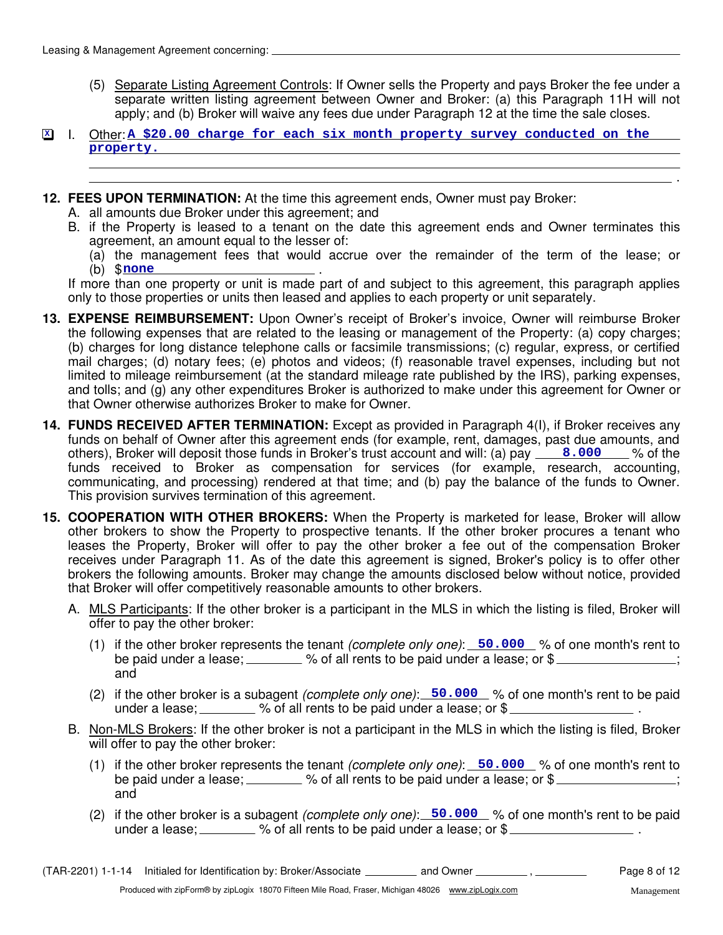- (5) Separate Listing Agreement Controls: If Owner sells the Property and pays Broker the fee under a separate written listing agreement between Owner and Broker: (a) this Paragraph 11H will not apply; and (b) Broker will waive any fees due under Paragraph 12 at the time the sale closes.
- **I.** Other: A \$20.00 charge for each six month property survey conducted on the **property.**
- **12. FEES UPON TERMINATION:** At the time this agreement ends, Owner must pay Broker:
	- A. all amounts due Broker under this agreement; and
	- B. if the Property is leased to a tenant on the date this agreement ends and Owner terminates this agreement, an amount equal to the lesser of:
		- (a) the management fees that would accrue over the remainder of the term of the lease; or (b) \$ <u>none</u> .

If more than one property or unit is made part of and subject to this agreement, this paragraph applies only to those properties or units then leased and applies to each property or unit separately.

- **13. EXPENSE REIMBURSEMENT:** Upon Owner's receipt of Broker's invoice, Owner will reimburse Broker the following expenses that are related to the leasing or management of the Property: (a) copy charges; (b) charges for long distance telephone calls or facsimile transmissions; (c) regular, express, or certified mail charges; (d) notary fees; (e) photos and videos; (f) reasonable travel expenses, including but not limited to mileage reimbursement (at the standard mileage rate published by the IRS), parking expenses, and tolls; and (g) any other expenditures Broker is authorized to make under this agreement for Owner or that Owner otherwise authorizes Broker to make for Owner.
- others), Broker will deposit those funds in Broker's trust account and will: (a) pay <u>3.000</u> by of the **14. FUNDS RECEIVED AFTER TERMINATION:** Except as provided in Paragraph 4(I), if Broker receives any funds on behalf of Owner after this agreement ends (for example, rent, damages, past due amounts, and funds received to Broker as compensation for services (for example, research, accounting, communicating, and processing) rendered at that time; and (b) pay the balance of the funds to Owner. This provision survives termination of this agreement.
- **15. COOPERATION WITH OTHER BROKERS:** When the Property is marketed for lease, Broker will allow other brokers to show the Property to prospective tenants. If the other broker procures a tenant who leases the Property, Broker will offer to pay the other broker a fee out of the compensation Broker receives under Paragraph 11. As of the date this agreement is signed, Broker's policy is to offer other brokers the following amounts. Broker may change the amounts disclosed below without notice, provided that Broker will offer competitively reasonable amounts to other brokers.
	- A. MLS Participants: If the other broker is a participant in the MLS in which the listing is filed, Broker will offer to pay the other broker:
		- (1) if the other broker represents the tenant *(complete only one)*: 50.000 % of one month's rent to be paid under a lease;  $\frac{1}{2}$  % of all rents to be paid under a lease; or \$ and
		- (2) if the other broker is a subagent (complete only one): 50.000 % of one month's rent to be paid under a lease;  $\mu$  % of all rents to be paid under a lease; or \$
	- B. Non-MLS Brokers: If the other broker is not a participant in the MLS in which the listing is filed, Broker will offer to pay the other broker:
		- (1) if the other broker represents the tenant *(complete only one)*: 50.000 % of one month's rent to be paid under a lease;  $\frac{1}{1}$  % of all rents to be paid under a lease; or \$ and
		- (2) if the other broker is a subagent (complete only one): 50.000 % of one month's rent to be paid under a lease;  $\frac{1}{2}$  % of all rents to be paid under a lease; or  $\frac{1}{2}$

.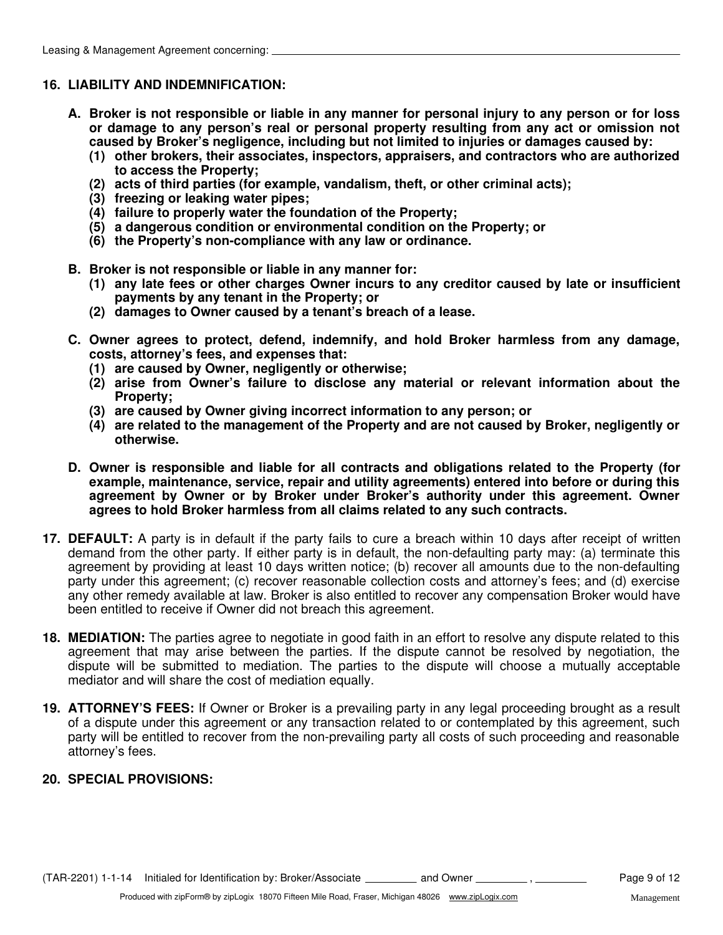## **16. LIABILITY AND INDEMNIFICATION:**

- **A. Broker is not responsible or liable in any manner for personal injury to any person or for loss or damage to any person's real or personal property resulting from any act or omission not caused by Broker's negligence, including but not limited to injuries or damages caused by:**
	- **(1) other brokers, their associates, inspectors, appraisers, and contractors who are authorized to access the Property;**
	- **(2) acts of third parties (for example, vandalism, theft, or other criminal acts);**
	- **(3) freezing or leaking water pipes;**
	- **(4) failure to properly water the foundation of the Property;**
	- **(5) a dangerous condition or environmental condition on the Property; or**
	- **(6) the Property's non-compliance with any law or ordinance.**
- **B. Broker is not responsible or liable in any manner for:**
	- **(1) any late fees or other charges Owner incurs to any creditor caused by late or insufficient payments by any tenant in the Property; or**
	- **(2) damages to Owner caused by a tenant's breach of a lease.**
- **C. Owner agrees to protect, defend, indemnify, and hold Broker harmless from any damage, costs, attorney's fees, and expenses that:**
	- **(1) are caused by Owner, negligently or otherwise;**
	- **(2) arise from Owner's failure to disclose any material or relevant information about the Property;**
	- **(3) are caused by Owner giving incorrect information to any person; or**
	- **(4) are related to the management of the Property and are not caused by Broker, negligently or otherwise.**
- **D. Owner is responsible and liable for all contracts and obligations related to the Property (for example, maintenance, service, repair and utility agreements) entered into before or during this agreement by Owner or by Broker under Broker's authority under this agreement. Owner agrees to hold Broker harmless from all claims related to any such contracts.**
- **17. DEFAULT:** A party is in default if the party fails to cure a breach within 10 days after receipt of written demand from the other party. If either party is in default, the non-defaulting party may: (a) terminate this agreement by providing at least 10 days written notice; (b) recover all amounts due to the non-defaulting party under this agreement; (c) recover reasonable collection costs and attorney's fees; and (d) exercise any other remedy available at law. Broker is also entitled to recover any compensation Broker would have been entitled to receive if Owner did not breach this agreement.
- **18. MEDIATION:** The parties agree to negotiate in good faith in an effort to resolve any dispute related to this agreement that may arise between the parties. If the dispute cannot be resolved by negotiation, the dispute will be submitted to mediation. The parties to the dispute will choose a mutually acceptable mediator and will share the cost of mediation equally.
- **19. ATTORNEY'S FEES:** If Owner or Broker is a prevailing party in any legal proceeding brought as a result of a dispute under this agreement or any transaction related to or contemplated by this agreement, such party will be entitled to recover from the non-prevailing party all costs of such proceeding and reasonable attorney's fees.

## **20. SPECIAL PROVISIONS:**

(TAR-2201) 1-1-14 Initialed for Identification by: Broker/Associate \_\_\_\_\_\_\_\_\_ and Owner  $\frac{1}{\sqrt{2}}$ ,  $\frac{1}{\sqrt{2}}$  Page 9 of 12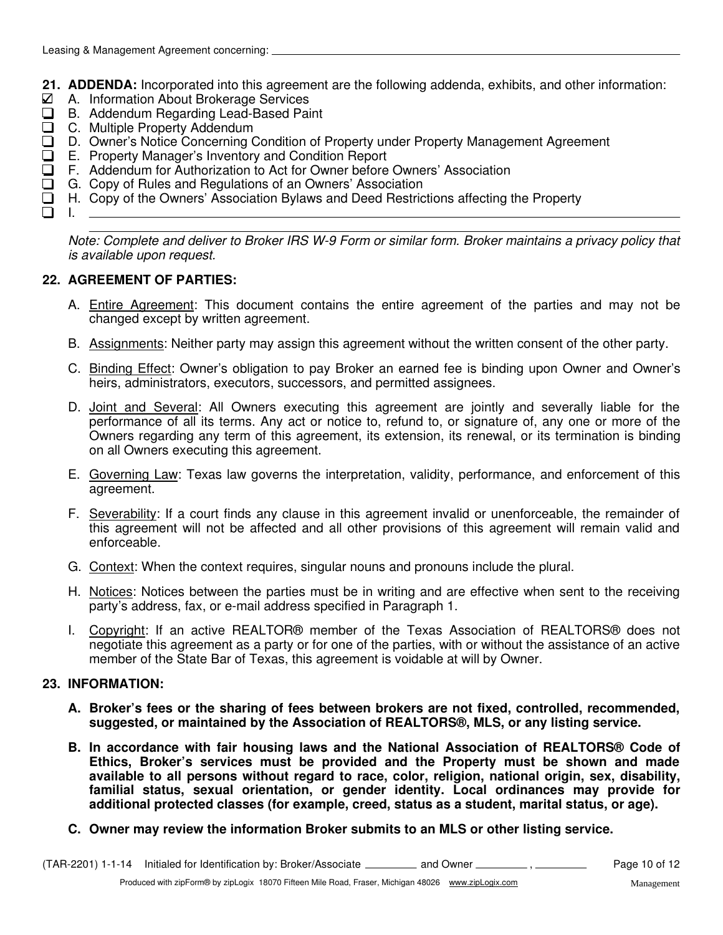- **21. ADDENDA:** Incorporated into this agreement are the following addenda, exhibits, and other information:
- $\boxtimes$  A. Information About Brokerage Services
- B. Addendum Regarding Lead-Based Paint
- □ C. Multiple Property Addendum
- D. Owner's Notice Concerning Condition of Property under Property Management Agreement  $\Box$
- E. Property Manager's Inventory and Condition Report
- F. Addendum for Authorization to Act for Owner before Owners' Association  $\Box$ 
	- G. Copy of Rules and Regulations of an Owners' Association
- H. Copy of the Owners' Association Bylaws and Deed Restrictions affecting the Property  $\Box$
- $\Box$

I.

Note: Complete and deliver to Broker IRS W-9 Form or similar form. Broker maintains a privacy policy that is available upon request.

## **22. AGREEMENT OF PARTIES:**

- A. **Entire Agreement**: This document contains the entire agreement of the parties and may not be changed except by written agreement.
- B. Assignments: Neither party may assign this agreement without the written consent of the other party.
- C. Binding Effect: Owner's obligation to pay Broker an earned fee is binding upon Owner and Owner's heirs, administrators, executors, successors, and permitted assignees.
- D. Joint and Several: All Owners executing this agreement are jointly and severally liable for the performance of all its terms. Any act or notice to, refund to, or signature of, any one or more of the Owners regarding any term of this agreement, its extension, its renewal, or its termination is binding on all Owners executing this agreement.
- E. Governing Law: Texas law governs the interpretation, validity, performance, and enforcement of this agreement.
- F. Severability: If a court finds any clause in this agreement invalid or unenforceable, the remainder of this agreement will not be affected and all other provisions of this agreement will remain valid and enforceable.
- G. Context: When the context requires, singular nouns and pronouns include the plural.
- H. Notices: Notices between the parties must be in writing and are effective when sent to the receiving party's address, fax, or e-mail address specified in Paragraph 1.
- I. Copyright: If an active REALTOR® member of the Texas Association of REALTORS® does not negotiate this agreement as a party or for one of the parties, with or without the assistance of an active member of the State Bar of Texas, this agreement is voidable at will by Owner.

#### **23. INFORMATION:**

- **A. Broker's fees or the sharing of fees between brokers are not fixed, controlled, recommended, suggested, or maintained by the Association of REALTORS®, MLS, or any listing service.**
- **B. In accordance with fair housing laws and the National Association of REALTORS® Code of Ethics, Broker's services must be provided and the Property must be shown and made available to all persons without regard to race, color, religion, national origin, sex, disability, familial status, sexual orientation, or gender identity. Local ordinances may provide for additional protected classes (for example, creed, status as a student, marital status, or age).**
- **C. Owner may review the information Broker submits to an MLS or other listing service.**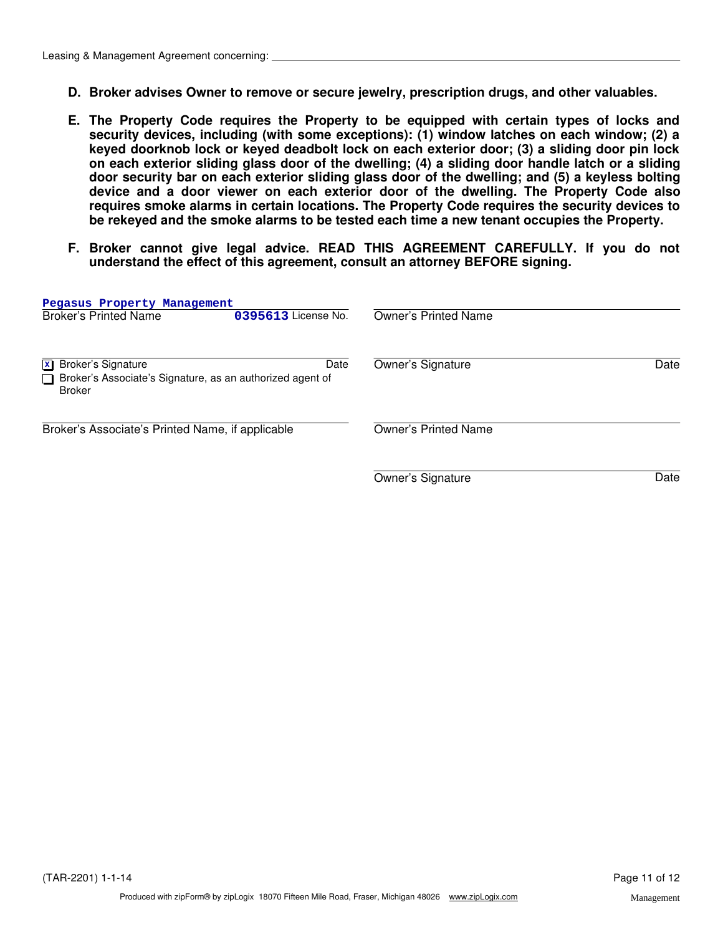- **D. Broker advises Owner to remove or secure jewelry, prescription drugs, and other valuables.**
- **E. The Property Code requires the Property to be equipped with certain types of locks and security devices, including (with some exceptions): (1) window latches on each window; (2) a keyed doorknob lock or keyed deadbolt lock on each exterior door; (3) a sliding door pin lock on each exterior sliding glass door of the dwelling; (4) a sliding door handle latch or a sliding door security bar on each exterior sliding glass door of the dwelling; and (5) a keyless bolting device and a door viewer on each exterior door of the dwelling. The Property Code also requires smoke alarms in certain locations. The Property Code requires the security devices to be rekeyed and the smoke alarms to be tested each time a new tenant occupies the Property.**
- **F. Broker cannot give legal advice. READ THIS AGREEMENT CAREFULLY. If you do not understand the effect of this agreement, consult an attorney BEFORE signing.**

| Pegasus Property Management<br><b>Broker's Printed Name</b>                                                                    | 0395613 License No. | Owner's Printed Name        |      |
|--------------------------------------------------------------------------------------------------------------------------------|---------------------|-----------------------------|------|
| <b>Broker's Signature</b><br>$\mathbf{x}$<br>Broker's Associate's Signature, as an authorized agent of<br>l I<br><b>Broker</b> | Date                | Owner's Signature           | Date |
| Broker's Associate's Printed Name, if applicable                                                                               |                     | <b>Owner's Printed Name</b> |      |
|                                                                                                                                |                     | Owner's Signature           | Date |